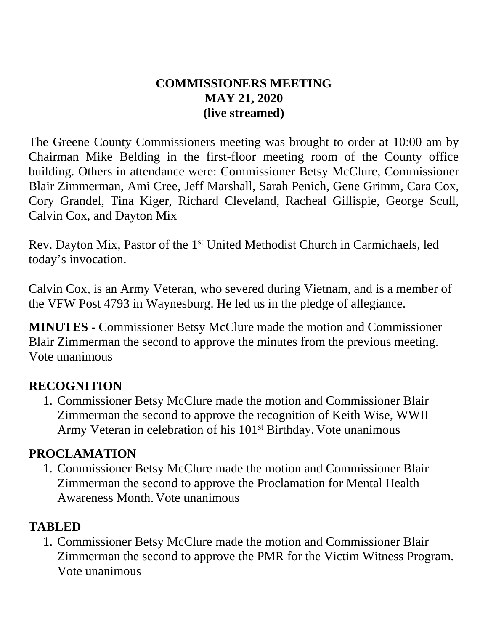#### **COMMISSIONERS MEETING MAY 21, 2020 (live streamed)**

The Greene County Commissioners meeting was brought to order at 10:00 am by Chairman Mike Belding in the first-floor meeting room of the County office building. Others in attendance were: Commissioner Betsy McClure, Commissioner Blair Zimmerman, Ami Cree, Jeff Marshall, Sarah Penich, Gene Grimm, Cara Cox, Cory Grandel, Tina Kiger, Richard Cleveland, Racheal Gillispie, George Scull, Calvin Cox, and Dayton Mix

Rev. Dayton Mix, Pastor of the 1<sup>st</sup> United Methodist Church in Carmichaels, led today's invocation.

Calvin Cox, is an Army Veteran, who severed during Vietnam, and is a member of the VFW Post 4793 in Waynesburg. He led us in the pledge of allegiance.

**MINUTES** - Commissioner Betsy McClure made the motion and Commissioner Blair Zimmerman the second to approve the minutes from the previous meeting. Vote unanimous

### **RECOGNITION**

1. Commissioner Betsy McClure made the motion and Commissioner Blair Zimmerman the second to approve the recognition of Keith Wise, WWII Army Veteran in celebration of his 101<sup>st</sup> Birthday. Vote unanimous

### **PROCLAMATION**

1. Commissioner Betsy McClure made the motion and Commissioner Blair Zimmerman the second to approve the Proclamation for Mental Health Awareness Month. Vote unanimous

### **TABLED**

1. Commissioner Betsy McClure made the motion and Commissioner Blair Zimmerman the second to approve the PMR for the Victim Witness Program. Vote unanimous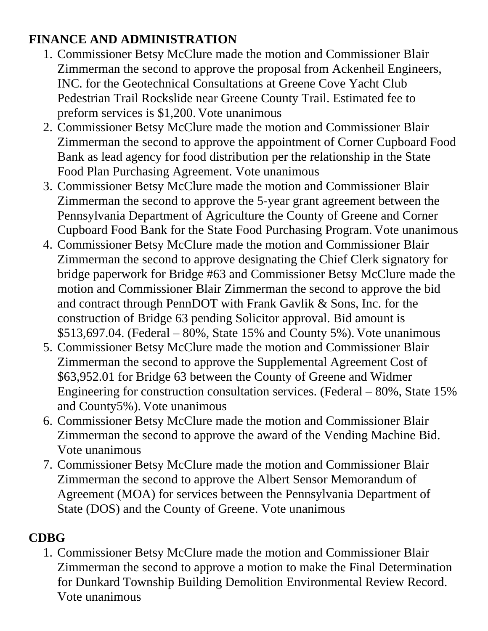## **FINANCE AND ADMINISTRATION**

- 1. Commissioner Betsy McClure made the motion and Commissioner Blair Zimmerman the second to approve the proposal from Ackenheil Engineers, INC. for the Geotechnical Consultations at Greene Cove Yacht Club Pedestrian Trail Rockslide near Greene County Trail. Estimated fee to preform services is \$1,200. Vote unanimous
- 2. Commissioner Betsy McClure made the motion and Commissioner Blair Zimmerman the second to approve the appointment of Corner Cupboard Food Bank as lead agency for food distribution per the relationship in the State Food Plan Purchasing Agreement. Vote unanimous
- 3. Commissioner Betsy McClure made the motion and Commissioner Blair Zimmerman the second to approve the 5-year grant agreement between the Pennsylvania Department of Agriculture the County of Greene and Corner Cupboard Food Bank for the State Food Purchasing Program. Vote unanimous
- 4. Commissioner Betsy McClure made the motion and Commissioner Blair Zimmerman the second to approve designating the Chief Clerk signatory for bridge paperwork for Bridge #63 and Commissioner Betsy McClure made the motion and Commissioner Blair Zimmerman the second to approve the bid and contract through PennDOT with Frank Gavlik & Sons, Inc. for the construction of Bridge 63 pending Solicitor approval. Bid amount is \$513,697.04. (Federal – 80%, State 15% and County 5%). Vote unanimous
- 5. Commissioner Betsy McClure made the motion and Commissioner Blair Zimmerman the second to approve the Supplemental Agreement Cost of \$63,952.01 for Bridge 63 between the County of Greene and Widmer Engineering for construction consultation services. (Federal – 80%, State 15% and County5%). Vote unanimous
- 6. Commissioner Betsy McClure made the motion and Commissioner Blair Zimmerman the second to approve the award of the Vending Machine Bid. Vote unanimous
- 7. Commissioner Betsy McClure made the motion and Commissioner Blair Zimmerman the second to approve the Albert Sensor Memorandum of Agreement (MOA) for services between the Pennsylvania Department of State (DOS) and the County of Greene. Vote unanimous

# **CDBG**

1. Commissioner Betsy McClure made the motion and Commissioner Blair Zimmerman the second to approve a motion to make the Final Determination for Dunkard Township Building Demolition Environmental Review Record. Vote unanimous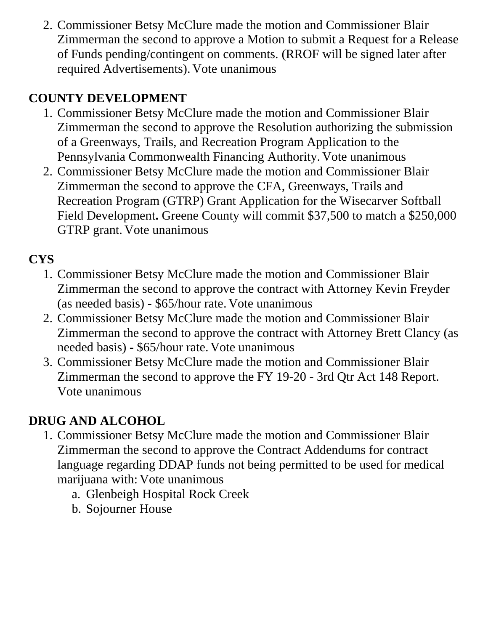2. Commissioner Betsy McClure made the motion and Commissioner Blair Zimmerman the second to approve a Motion to submit a Request for a Release of Funds pending/contingent on comments. (RROF will be signed later after required Advertisements). Vote unanimous

# **COUNTY DEVELOPMENT**

- 1. Commissioner Betsy McClure made the motion and Commissioner Blair Zimmerman the second to approve the Resolution authorizing the submission of a Greenways, Trails, and Recreation Program Application to the Pennsylvania Commonwealth Financing Authority. Vote unanimous
- 2. Commissioner Betsy McClure made the motion and Commissioner Blair Zimmerman the second to approve the CFA, Greenways, Trails and Recreation Program (GTRP) Grant Application for the Wisecarver Softball Field Development. Greene County will commit \$37,500 to match a \$250,000 GTRP grant. Vote unanimous

# **CYS**

- 1. Commissioner Betsy McClure made the motion and Commissioner Blair Zimmerman the second to approve the contract with Attorney Kevin Freyder (as needed basis) - \$65/hour rate. Vote unanimous
- 2. Commissioner Betsy McClure made the motion and Commissioner Blair Zimmerman the second to approve the contract with Attorney Brett Clancy (as needed basis) - \$65/hour rate. Vote unanimous
- 3. Commissioner Betsy McClure made the motion and Commissioner Blair Zimmerman the second to approve the FY 19-20 - 3rd Qtr Act 148 Report. Vote unanimous

# **DRUG AND ALCOHOL**

- 1. Commissioner Betsy McClure made the motion and Commissioner Blair Zimmerman the second to approve the Contract Addendums for contract language regarding DDAP funds not being permitted to be used for medical marijuana with: Vote unanimous
	- a. Glenbeigh Hospital Rock Creek
	- b. Sojourner House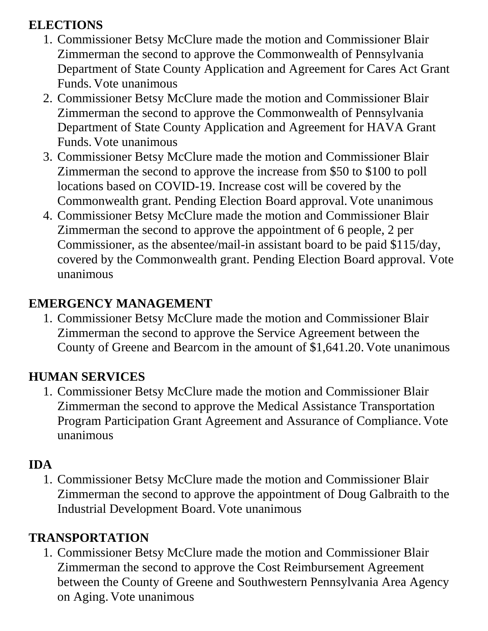## **ELECTIONS**

- 1. Commissioner Betsy McClure made the motion and Commissioner Blair Zimmerman the second to approve the Commonwealth of Pennsylvania Department of State County Application and Agreement for Cares Act Grant Funds. Vote unanimous
- 2. Commissioner Betsy McClure made the motion and Commissioner Blair Zimmerman the second to approve the Commonwealth of Pennsylvania Department of State County Application and Agreement for HAVA Grant Funds. Vote unanimous
- 3. Commissioner Betsy McClure made the motion and Commissioner Blair Zimmerman the second to approve the increase from \$50 to \$100 to poll locations based on COVID-19. Increase cost will be covered by the Commonwealth grant. Pending Election Board approval. Vote unanimous
- 4. Commissioner Betsy McClure made the motion and Commissioner Blair Zimmerman the second to approve the appointment of 6 people, 2 per Commissioner, as the absentee/mail-in assistant board to be paid \$115/day, covered by the Commonwealth grant. Pending Election Board approval. Vote unanimous

### **EMERGENCY MANAGEMENT**

1. Commissioner Betsy McClure made the motion and Commissioner Blair Zimmerman the second to approve the Service Agreement between the County of Greene and Bearcom in the amount of \$1,641.20. Vote unanimous

## **HUMAN SERVICES**

1. Commissioner Betsy McClure made the motion and Commissioner Blair Zimmerman the second to approve the Medical Assistance Transportation Program Participation Grant Agreement and Assurance of Compliance. Vote unanimous

## **IDA**

1. Commissioner Betsy McClure made the motion and Commissioner Blair Zimmerman the second to approve the appointment of Doug Galbraith to the Industrial Development Board. Vote unanimous

## **TRANSPORTATION**

1. Commissioner Betsy McClure made the motion and Commissioner Blair Zimmerman the second to approve the Cost Reimbursement Agreement between the County of Greene and Southwestern Pennsylvania Area Agency on Aging. Vote unanimous